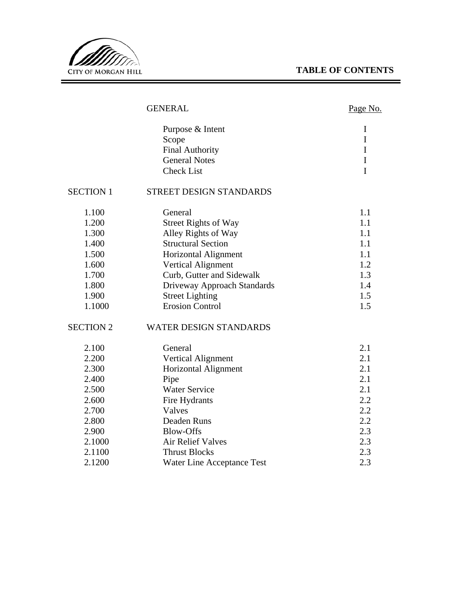# **TABLE OF CONTENTS**

<u> 1989 - Johann Barnett, fransk politiker (d. 1989)</u>



# GENERAL

# Page No.

| Purpose & Intent       |  |
|------------------------|--|
| Scope                  |  |
| <b>Final Authority</b> |  |
| <b>General Notes</b>   |  |
| <b>Check List</b>      |  |

#### SECTION 1 STREET DESIGN STANDARDS

| 1.100  | General                     | 1.1 |
|--------|-----------------------------|-----|
| 1.200  | <b>Street Rights of Way</b> | 1.1 |
| 1.300  | Alley Rights of Way         | 1.1 |
| 1.400  | <b>Structural Section</b>   | 1.1 |
| 1.500  | Horizontal Alignment        | 1.1 |
| 1.600  | <b>Vertical Alignment</b>   | 1.2 |
| 1.700  | Curb, Gutter and Sidewalk   | 1.3 |
| 1.800  | Driveway Approach Standards | 1.4 |
| 1.900  | <b>Street Lighting</b>      | 1.5 |
| 1.1000 | <b>Erosion Control</b>      | 1.5 |

#### SECTION 2 WATER DESIGN STANDARDS

| 2.100  | General                    | 2.1 |
|--------|----------------------------|-----|
| 2.200  | Vertical Alignment         | 2.1 |
| 2.300  | Horizontal Alignment       | 2.1 |
| 2.400  | Pipe                       | 2.1 |
| 2.500  | <b>Water Service</b>       | 2.1 |
| 2.600  | Fire Hydrants              | 2.2 |
| 2.700  | Valves                     | 2.2 |
| 2.800  | Deaden Runs                | 2.2 |
| 2.900  | Blow-Offs                  | 2.3 |
| 2.1000 | Air Relief Valves          | 2.3 |
| 2.1100 | <b>Thrust Blocks</b>       | 2.3 |
| 2.1200 | Water Line Acceptance Test | 2.3 |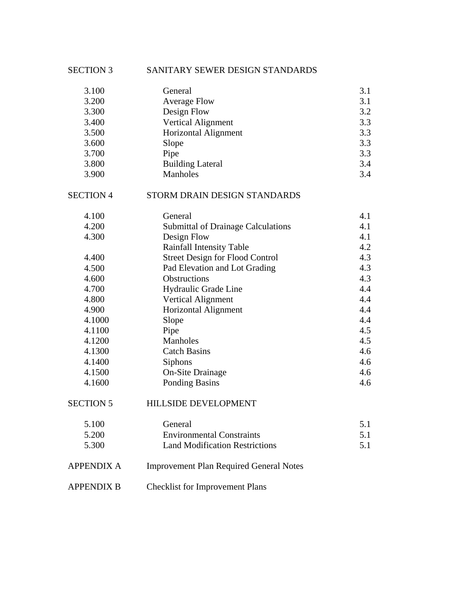| <b>SECTION 3</b>  | SANITARY SEWER DESIGN STANDARDS                |     |
|-------------------|------------------------------------------------|-----|
| 3.100             | General                                        | 3.1 |
| 3.200             | <b>Average Flow</b>                            | 3.1 |
| 3.300             | Design Flow                                    | 3.2 |
| 3.400             | Vertical Alignment                             | 3.3 |
| 3.500             | <b>Horizontal Alignment</b>                    | 3.3 |
| 3.600             | Slope                                          | 3.3 |
| 3.700             | Pipe                                           | 3.3 |
| 3.800             | <b>Building Lateral</b>                        | 3.4 |
| 3.900             | Manholes                                       | 3.4 |
| <b>SECTION 4</b>  | STORM DRAIN DESIGN STANDARDS                   |     |
| 4.100             | General                                        | 4.1 |
| 4.200             | <b>Submittal of Drainage Calculations</b>      | 4.1 |
| 4.300             | Design Flow                                    | 4.1 |
|                   | Rainfall Intensity Table                       | 4.2 |
| 4.400             | <b>Street Design for Flood Control</b>         | 4.3 |
| 4.500             | Pad Elevation and Lot Grading                  | 4.3 |
| 4.600             | <b>Obstructions</b>                            | 4.3 |
| 4.700             | Hydraulic Grade Line                           | 4.4 |
| 4.800             | <b>Vertical Alignment</b>                      | 4.4 |
| 4.900             | <b>Horizontal Alignment</b>                    | 4.4 |
| 4.1000            | Slope                                          | 4.4 |
| 4.1100            | Pipe                                           | 4.5 |
| 4.1200            | Manholes                                       | 4.5 |
| 4.1300            | <b>Catch Basins</b>                            | 4.6 |
| 4.1400            | Siphons                                        | 4.6 |
| 4.1500            | <b>On-Site Drainage</b>                        | 4.6 |
| 4.1600            | <b>Ponding Basins</b>                          | 4.6 |
| <b>SECTION 5</b>  | HILLSIDE DEVELOPMENT                           |     |
| 5.100             | General                                        | 5.1 |
| 5.200             | <b>Environmental Constraints</b>               | 5.1 |
| 5.300             | <b>Land Modification Restrictions</b>          | 5.1 |
| <b>APPENDIX A</b> | <b>Improvement Plan Required General Notes</b> |     |
| <b>APPENDIX B</b> | <b>Checklist for Improvement Plans</b>         |     |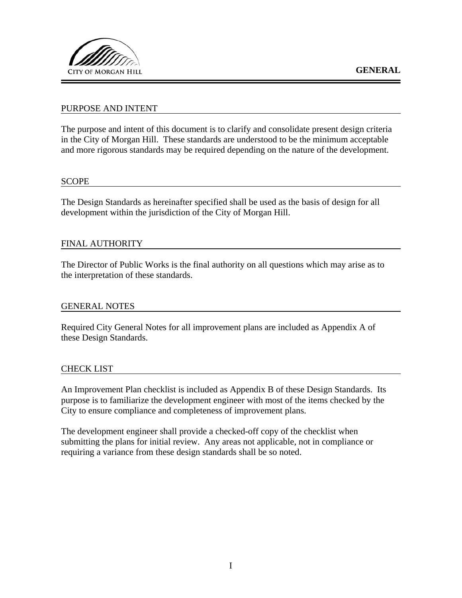

# PURPOSE AND INTENT

The purpose and intent of this document is to clarify and consolidate present design criteria in the City of Morgan Hill. These standards are understood to be the minimum acceptable and more rigorous standards may be required depending on the nature of the development.

### **SCOPE**

The Design Standards as hereinafter specified shall be used as the basis of design for all development within the jurisdiction of the City of Morgan Hill.

## FINAL AUTHORITY

The Director of Public Works is the final authority on all questions which may arise as to the interpretation of these standards.

## GENERAL NOTES

Required City General Notes for all improvement plans are included as Appendix A of these Design Standards.

#### CHECK LIST

An Improvement Plan checklist is included as Appendix B of these Design Standards. Its purpose is to familiarize the development engineer with most of the items checked by the City to ensure compliance and completeness of improvement plans.

The development engineer shall provide a checked-off copy of the checklist when submitting the plans for initial review. Any areas not applicable, not in compliance or requiring a variance from these design standards shall be so noted.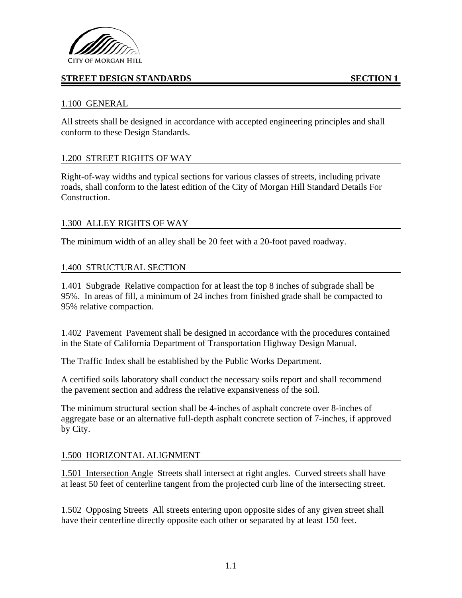

# **STREET DESIGN STANDARDS** SECTION 1

# 1.100 GENERAL

All streets shall be designed in accordance with accepted engineering principles and shall conform to these Design Standards.

# 1.200 STREET RIGHTS OF WAY

Right-of-way widths and typical sections for various classes of streets, including private roads, shall conform to the latest edition of the City of Morgan Hill Standard Details For Construction.

# 1.300 ALLEY RIGHTS OF WAY

The minimum width of an alley shall be 20 feet with a 20-foot paved roadway.

# 1.400 STRUCTURAL SECTION

1.401 Subgrade Relative compaction for at least the top 8 inches of subgrade shall be 95%. In areas of fill, a minimum of 24 inches from finished grade shall be compacted to 95% relative compaction.

1.402 Pavement Pavement shall be designed in accordance with the procedures contained in the State of California Department of Transportation Highway Design Manual.

The Traffic Index shall be established by the Public Works Department.

A certified soils laboratory shall conduct the necessary soils report and shall recommend the pavement section and address the relative expansiveness of the soil.

The minimum structural section shall be 4-inches of asphalt concrete over 8-inches of aggregate base or an alternative full-depth asphalt concrete section of 7-inches, if approved by City.

## 1.500 HORIZONTAL ALIGNMENT

1.501 Intersection Angle Streets shall intersect at right angles. Curved streets shall have at least 50 feet of centerline tangent from the projected curb line of the intersecting street.

1.502 Opposing Streets All streets entering upon opposite sides of any given street shall have their centerline directly opposite each other or separated by at least 150 feet.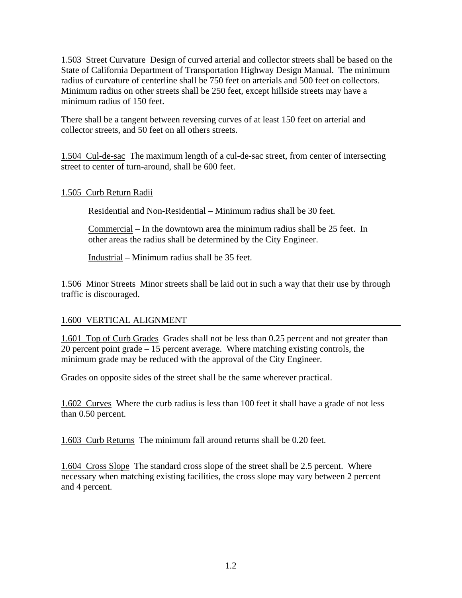1.503 Street Curvature Design of curved arterial and collector streets shall be based on the State of California Department of Transportation Highway Design Manual. The minimum radius of curvature of centerline shall be 750 feet on arterials and 500 feet on collectors. Minimum radius on other streets shall be 250 feet, except hillside streets may have a minimum radius of 150 feet.

There shall be a tangent between reversing curves of at least 150 feet on arterial and collector streets, and 50 feet on all others streets.

1.504 Cul-de-sac The maximum length of a cul-de-sac street, from center of intersecting street to center of turn-around, shall be 600 feet.

# 1.505 Curb Return Radii

Residential and Non-Residential – Minimum radius shall be 30 feet.

Commercial – In the downtown area the minimum radius shall be 25 feet. In other areas the radius shall be determined by the City Engineer.

Industrial – Minimum radius shall be 35 feet.

1.506 Minor Streets Minor streets shall be laid out in such a way that their use by through traffic is discouraged.

# 1.600 VERTICAL ALIGNMENT

1.601 Top of Curb Grades Grades shall not be less than 0.25 percent and not greater than 20 percent point grade – 15 percent average. Where matching existing controls, the minimum grade may be reduced with the approval of the City Engineer.

Grades on opposite sides of the street shall be the same wherever practical.

1.602 Curves Where the curb radius is less than 100 feet it shall have a grade of not less than 0.50 percent.

1.603 Curb Returns The minimum fall around returns shall be 0.20 feet.

1.604 Cross Slope The standard cross slope of the street shall be 2.5 percent. Where necessary when matching existing facilities, the cross slope may vary between 2 percent and 4 percent.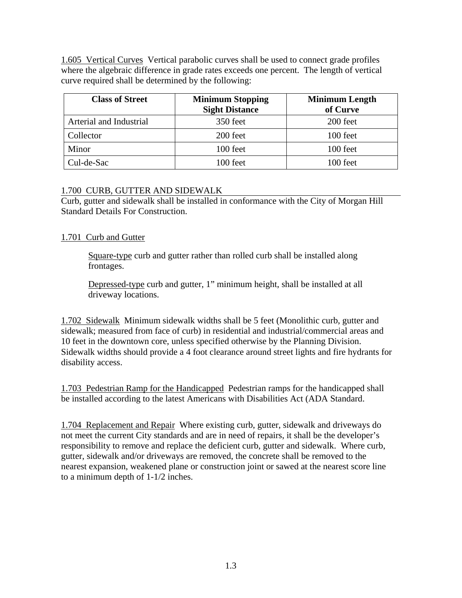1.605 Vertical Curves Vertical parabolic curves shall be used to connect grade profiles where the algebraic difference in grade rates exceeds one percent. The length of vertical curve required shall be determined by the following:

| <b>Class of Street</b>  | <b>Minimum Stopping</b><br><b>Sight Distance</b> | <b>Minimum Length</b><br>of Curve |
|-------------------------|--------------------------------------------------|-----------------------------------|
| Arterial and Industrial | 350 feet                                         | 200 feet                          |
| Collector               | 200 feet                                         | 100 feet                          |
| Minor                   | 100 feet                                         | 100 feet                          |
| Cul-de-Sac              | 100 feet                                         | 100 feet                          |

# 1.700 CURB, GUTTER AND SIDEWALK

Curb, gutter and sidewalk shall be installed in conformance with the City of Morgan Hill Standard Details For Construction.

# 1.701 Curb and Gutter

Square-type curb and gutter rather than rolled curb shall be installed along frontages.

Depressed-type curb and gutter, 1" minimum height, shall be installed at all driveway locations.

1.702 Sidewalk Minimum sidewalk widths shall be 5 feet (Monolithic curb, gutter and sidewalk; measured from face of curb) in residential and industrial/commercial areas and 10 feet in the downtown core, unless specified otherwise by the Planning Division. Sidewalk widths should provide a 4 foot clearance around street lights and fire hydrants for disability access.

1.703 Pedestrian Ramp for the Handicapped Pedestrian ramps for the handicapped shall be installed according to the latest Americans with Disabilities Act (ADA Standard.

1.704 Replacement and Repair Where existing curb, gutter, sidewalk and driveways do not meet the current City standards and are in need of repairs, it shall be the developer's responsibility to remove and replace the deficient curb, gutter and sidewalk. Where curb, gutter, sidewalk and/or driveways are removed, the concrete shall be removed to the nearest expansion, weakened plane or construction joint or sawed at the nearest score line to a minimum depth of 1-1/2 inches.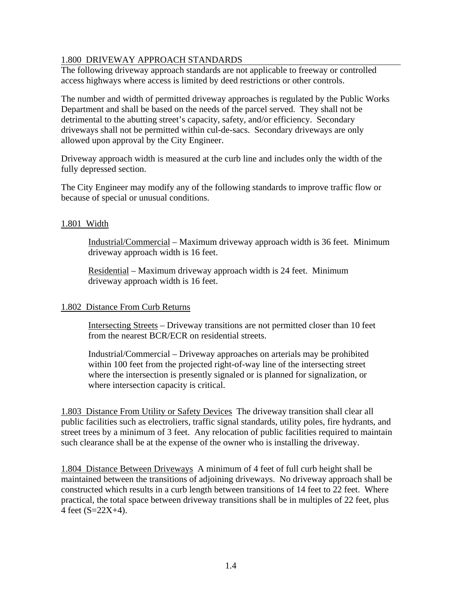# 1.800 DRIVEWAY APPROACH STANDARDS

The following driveway approach standards are not applicable to freeway or controlled access highways where access is limited by deed restrictions or other controls.

The number and width of permitted driveway approaches is regulated by the Public Works Department and shall be based on the needs of the parcel served. They shall not be detrimental to the abutting street's capacity, safety, and/or efficiency. Secondary driveways shall not be permitted within cul-de-sacs. Secondary driveways are only allowed upon approval by the City Engineer.

Driveway approach width is measured at the curb line and includes only the width of the fully depressed section.

The City Engineer may modify any of the following standards to improve traffic flow or because of special or unusual conditions.

# 1.801 Width

Industrial/Commercial – Maximum driveway approach width is 36 feet. Minimum driveway approach width is 16 feet.

Residential – Maximum driveway approach width is 24 feet. Minimum driveway approach width is 16 feet.

## 1.802 Distance From Curb Returns

Intersecting Streets – Driveway transitions are not permitted closer than 10 feet from the nearest BCR/ECR on residential streets.

Industrial/Commercial – Driveway approaches on arterials may be prohibited within 100 feet from the projected right-of-way line of the intersecting street where the intersection is presently signaled or is planned for signalization, or where intersection capacity is critical.

1.803 Distance From Utility or Safety Devices The driveway transition shall clear all public facilities such as electroliers, traffic signal standards, utility poles, fire hydrants, and street trees by a minimum of 3 feet. Any relocation of public facilities required to maintain such clearance shall be at the expense of the owner who is installing the driveway.

1.804 Distance Between Driveways A minimum of 4 feet of full curb height shall be maintained between the transitions of adjoining driveways. No driveway approach shall be constructed which results in a curb length between transitions of 14 feet to 22 feet. Where practical, the total space between driveway transitions shall be in multiples of 22 feet, plus 4 feet (S=22X+4).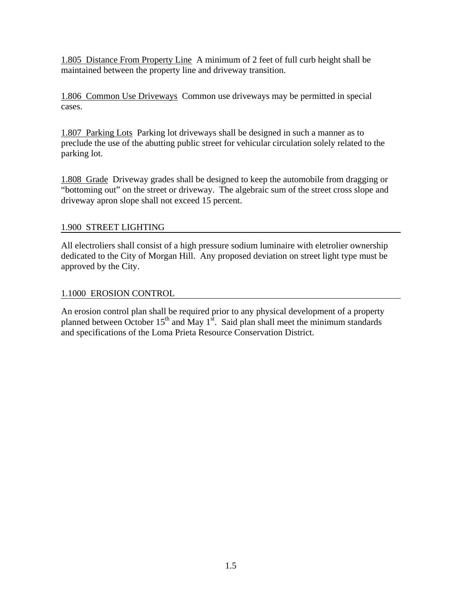1.805 Distance From Property Line A minimum of 2 feet of full curb height shall be maintained between the property line and driveway transition.

1.806 Common Use Driveways Common use driveways may be permitted in special cases.

1.807 Parking Lots Parking lot driveways shall be designed in such a manner as to preclude the use of the abutting public street for vehicular circulation solely related to the parking lot.

1.808 Grade Driveway grades shall be designed to keep the automobile from dragging or "bottoming out" on the street or driveway. The algebraic sum of the street cross slope and driveway apron slope shall not exceed 15 percent.

# 1.900 STREET LIGHTING

All electroliers shall consist of a high pressure sodium luminaire with eletrolier ownership dedicated to the City of Morgan Hill. Any proposed deviation on street light type must be approved by the City.

# 1.1000 EROSION CONTROL

An erosion control plan shall be required prior to any physical development of a property planned between October  $15<sup>th</sup>$  and May  $1<sup>st</sup>$ . Said plan shall meet the minimum standards and specifications of the Loma Prieta Resource Conservation District.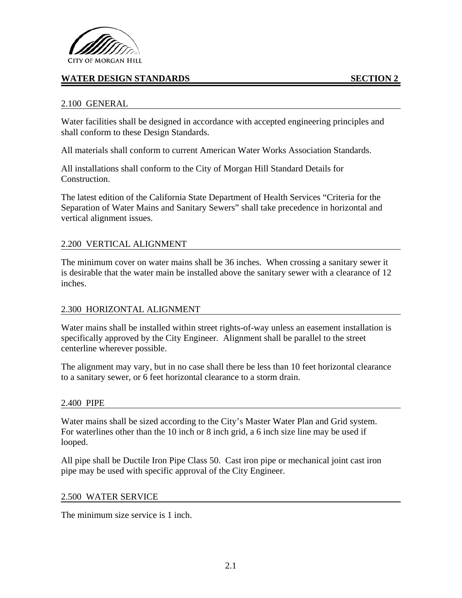

# **WATER DESIGN STANDARDS SECTION 2**

## 2.100 GENERAL

Water facilities shall be designed in accordance with accepted engineering principles and shall conform to these Design Standards.

All materials shall conform to current American Water Works Association Standards.

All installations shall conform to the City of Morgan Hill Standard Details for Construction.

The latest edition of the California State Department of Health Services "Criteria for the Separation of Water Mains and Sanitary Sewers" shall take precedence in horizontal and vertical alignment issues.

### 2.200 VERTICAL ALIGNMENT

The minimum cover on water mains shall be 36 inches. When crossing a sanitary sewer it is desirable that the water main be installed above the sanitary sewer with a clearance of 12 inches.

## 2.300 HORIZONTAL ALIGNMENT

Water mains shall be installed within street rights-of-way unless an easement installation is specifically approved by the City Engineer. Alignment shall be parallel to the street centerline wherever possible.

The alignment may vary, but in no case shall there be less than 10 feet horizontal clearance to a sanitary sewer, or 6 feet horizontal clearance to a storm drain.

#### 2.400 PIPE

Water mains shall be sized according to the City's Master Water Plan and Grid system. For waterlines other than the 10 inch or 8 inch grid, a 6 inch size line may be used if looped.

All pipe shall be Ductile Iron Pipe Class 50. Cast iron pipe or mechanical joint cast iron pipe may be used with specific approval of the City Engineer.

#### 2.500 WATER SERVICE

The minimum size service is 1 inch.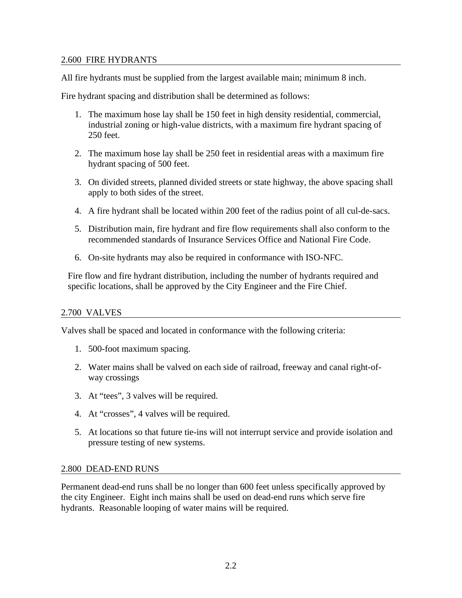# 2.600 FIRE HYDRANTS

All fire hydrants must be supplied from the largest available main; minimum 8 inch.

Fire hydrant spacing and distribution shall be determined as follows:

- 1. The maximum hose lay shall be 150 feet in high density residential, commercial, industrial zoning or high-value districts, with a maximum fire hydrant spacing of 250 feet.
- 2. The maximum hose lay shall be 250 feet in residential areas with a maximum fire hydrant spacing of 500 feet.
- 3. On divided streets, planned divided streets or state highway, the above spacing shall apply to both sides of the street.
- 4. A fire hydrant shall be located within 200 feet of the radius point of all cul-de-sacs.
- 5. Distribution main, fire hydrant and fire flow requirements shall also conform to the recommended standards of Insurance Services Office and National Fire Code.
- 6. On-site hydrants may also be required in conformance with ISO-NFC.

Fire flow and fire hydrant distribution, including the number of hydrants required and specific locations, shall be approved by the City Engineer and the Fire Chief.

## 2.700 VALVES

Valves shall be spaced and located in conformance with the following criteria:

- 1. 500-foot maximum spacing.
- 2. Water mains shall be valved on each side of railroad, freeway and canal right-ofway crossings
- 3. At "tees", 3 valves will be required.
- 4. At "crosses", 4 valves will be required.
- 5. At locations so that future tie-ins will not interrupt service and provide isolation and pressure testing of new systems.

## 2.800 DEAD-END RUNS

Permanent dead-end runs shall be no longer than 600 feet unless specifically approved by the city Engineer. Eight inch mains shall be used on dead-end runs which serve fire hydrants. Reasonable looping of water mains will be required.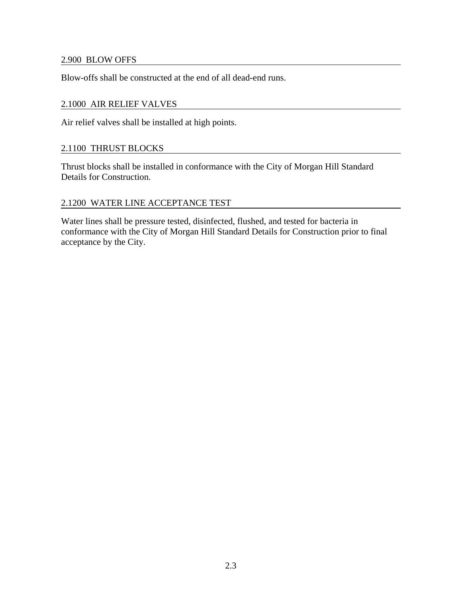## 2.900 BLOW OFFS

Blow-offs shall be constructed at the end of all dead-end runs.

## 2.1000 AIR RELIEF VALVES

Air relief valves shall be installed at high points.

# 2.1100 THRUST BLOCKS

Thrust blocks shall be installed in conformance with the City of Morgan Hill Standard Details for Construction.

# 2.1200 WATER LINE ACCEPTANCE TEST

Water lines shall be pressure tested, disinfected, flushed, and tested for bacteria in conformance with the City of Morgan Hill Standard Details for Construction prior to final acceptance by the City.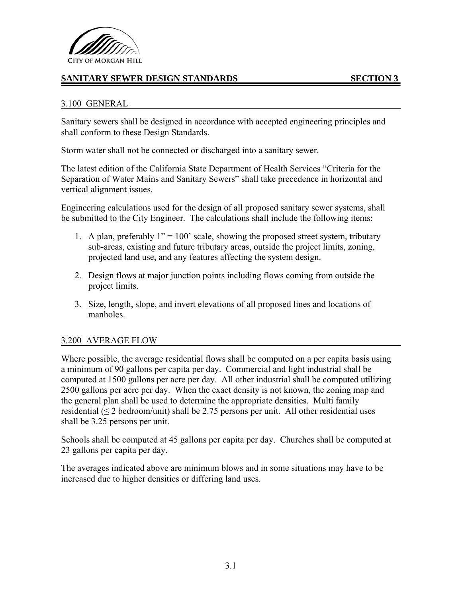

# **SANITARY SEWER DESIGN STANDARDS SECTION 3**

## 3.100 GENERAL

Sanitary sewers shall be designed in accordance with accepted engineering principles and shall conform to these Design Standards.

Storm water shall not be connected or discharged into a sanitary sewer.

The latest edition of the California State Department of Health Services "Criteria for the Separation of Water Mains and Sanitary Sewers" shall take precedence in horizontal and vertical alignment issues.

Engineering calculations used for the design of all proposed sanitary sewer systems, shall be submitted to the City Engineer. The calculations shall include the following items:

- 1. A plan, preferably  $1" = 100'$  scale, showing the proposed street system, tributary sub-areas, existing and future tributary areas, outside the project limits, zoning, projected land use, and any features affecting the system design.
- 2. Design flows at major junction points including flows coming from outside the project limits.
- 3. Size, length, slope, and invert elevations of all proposed lines and locations of manholes.

## 3.200 AVERAGE FLOW

Where possible, the average residential flows shall be computed on a per capita basis using a minimum of 90 gallons per capita per day. Commercial and light industrial shall be computed at 1500 gallons per acre per day. All other industrial shall be computed utilizing 2500 gallons per acre per day. When the exact density is not known, the zoning map and the general plan shall be used to determine the appropriate densities. Multi family residential  $(\leq 2 \text{ bedroom/unit})$  shall be 2.75 persons per unit. All other residential uses shall be 3.25 persons per unit.

Schools shall be computed at 45 gallons per capita per day. Churches shall be computed at 23 gallons per capita per day.

The averages indicated above are minimum blows and in some situations may have to be increased due to higher densities or differing land uses.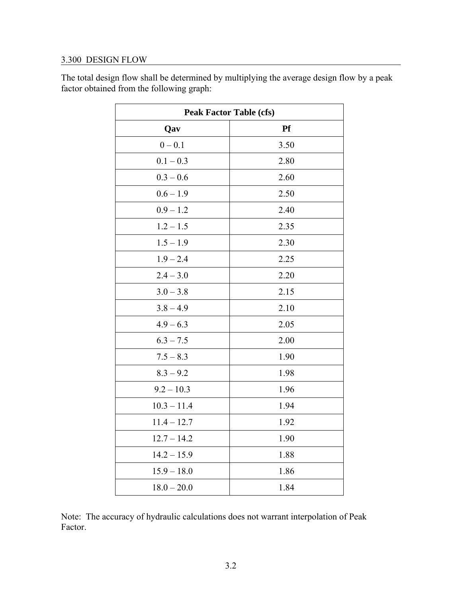# 3.300 DESIGN FLOW

| <b>Peak Factor Table (cfs)</b> |           |  |  |
|--------------------------------|-----------|--|--|
| Qav                            | <b>Pf</b> |  |  |
| $0 - 0.1$                      | 3.50      |  |  |
| $0.1 - 0.3$                    | 2.80      |  |  |
| $0.3 - 0.6$                    | 2.60      |  |  |
| $0.6 - 1.9$                    | 2.50      |  |  |
| $0.9 - 1.2$                    | 2.40      |  |  |
| $1.2 - 1.5$                    | 2.35      |  |  |
| $1.5 - 1.9$                    | 2.30      |  |  |
| $1.9 - 2.4$                    | 2.25      |  |  |
| $2.4 - 3.0$                    | 2.20      |  |  |
| $3.0 - 3.8$                    | 2.15      |  |  |
| $3.8 - 4.9$                    | 2.10      |  |  |
| $4.9 - 6.3$                    | 2.05      |  |  |
| $6.3 - 7.5$                    | 2.00      |  |  |
| $7.5 - 8.3$                    | 1.90      |  |  |
| $8.3 - 9.2$                    | 1.98      |  |  |
| $9.2 - 10.3$                   | 1.96      |  |  |
| $10.3 - 11.4$                  | 1.94      |  |  |
| $11.4 - 12.7$                  | 1.92      |  |  |
| $12.7 - 14.2$                  | 1.90      |  |  |
| $14.2 - 15.9$                  | 1.88      |  |  |
| $15.9 - 18.0$                  | 1.86      |  |  |
| $18.0 - 20.0$                  | 1.84      |  |  |

The total design flow shall be determined by multiplying the average design flow by a peak factor obtained from the following graph:

Note: The accuracy of hydraulic calculations does not warrant interpolation of Peak Factor.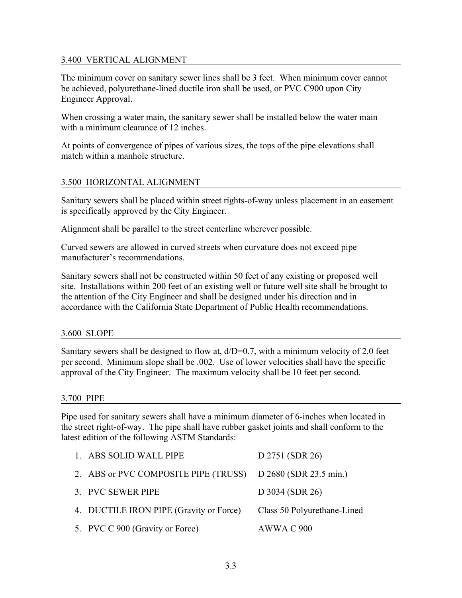# 3.400 VERTICAL ALIGNMENT

The minimum cover on sanitary sewer lines shall be 3 feet. When minimum cover cannot be achieved, polyurethane-lined ductile iron shall be used, or PVC C900 upon City Engineer Approval.

When crossing a water main, the sanitary sewer shall be installed below the water main with a minimum clearance of 12 inches.

At points of convergence of pipes of various sizes, the tops of the pipe elevations shall match within a manhole structure.

# 3.500 HORIZONTAL ALIGNMENT

Sanitary sewers shall be placed within street rights-of-way unless placement in an easement is specifically approved by the City Engineer.

Alignment shall be parallel to the street centerline wherever possible.

Curved sewers are allowed in curved streets when curvature does not exceed pipe manufacturer's recommendations.

Sanitary sewers shall not be constructed within 50 feet of any existing or proposed well site. Installations within 200 feet of an existing well or future well site shall be brought to the attention of the City Engineer and shall be designed under his direction and in accordance with the California State Department of Public Health recommendations.

#### 3.600 SLOPE

Sanitary sewers shall be designed to flow at,  $d/D=0.7$ , with a minimum velocity of 2.0 feet per second. Minimum slope shall be .002. Use of lower velocities shall have the specific approval of the City Engineer. The maximum velocity shall be 10 feet per second.

## 3.700 PIPE

Pipe used for sanitary sewers shall have a minimum diameter of 6-inches when located in the street right-of-way. The pipe shall have rubber gasket joints and shall conform to the latest edition of the following ASTM Standards:

| 1. ABS SOLID WALL PIPE                                      | D 2751 (SDR 26)             |
|-------------------------------------------------------------|-----------------------------|
| 2. ABS or PVC COMPOSITE PIPE (TRUSS) D 2680 (SDR 23.5 min.) |                             |
| 3. PVC SEWER PIPE                                           | D 3034 (SDR 26)             |
| 4. DUCTILE IRON PIPE (Gravity or Force)                     | Class 50 Polyurethane-Lined |
| 5. PVC C 900 (Gravity or Force)                             | AWWA C 900                  |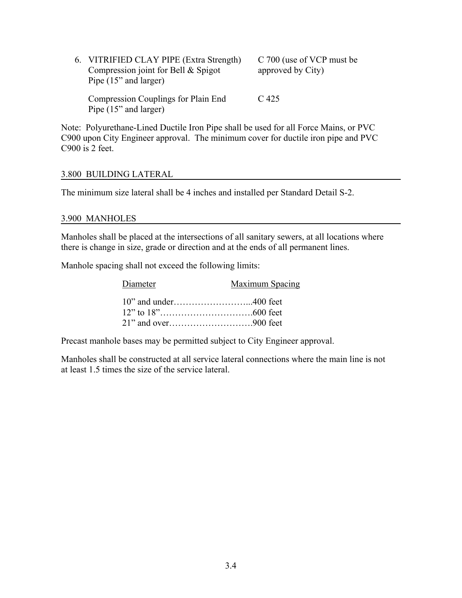| 6. VITRIFIED CLAY PIPE (Extra Strength)<br>Compression joint for Bell & Spigot<br>Pipe (15" and larger) | C 700 (use of VCP must be<br>approved by City) |
|---------------------------------------------------------------------------------------------------------|------------------------------------------------|
| Compression Couplings for Plain End<br>Pipe (15" and larger)                                            | $C_{425}$                                      |

Note: Polyurethane-Lined Ductile Iron Pipe shall be used for all Force Mains, or PVC C900 upon City Engineer approval. The minimum cover for ductile iron pipe and PVC C900 is 2 feet.

### 3.800 BUILDING LATERAL

The minimum size lateral shall be 4 inches and installed per Standard Detail S-2.

#### 3.900 MANHOLES

Manholes shall be placed at the intersections of all sanitary sewers, at all locations where there is change in size, grade or direction and at the ends of all permanent lines.

Manhole spacing shall not exceed the following limits:

| Diameter | Maximum Spacing |
|----------|-----------------|
|          |                 |
|          |                 |
|          |                 |

Precast manhole bases may be permitted subject to City Engineer approval.

Manholes shall be constructed at all service lateral connections where the main line is not at least 1.5 times the size of the service lateral.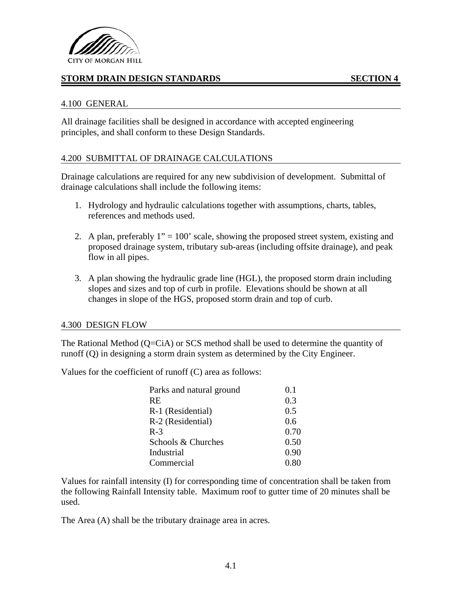

# **STORM DRAIN DESIGN STANDARDS SECTION 4**

## 4.100 GENERAL

All drainage facilities shall be designed in accordance with accepted engineering principles, and shall conform to these Design Standards.

## 4.200 SUBMITTAL OF DRAINAGE CALCULATIONS

Drainage calculations are required for any new subdivision of development. Submittal of drainage calculations shall include the following items:

- 1. Hydrology and hydraulic calculations together with assumptions, charts, tables, references and methods used.
- 2. A plan, preferably  $1" = 100'$  scale, showing the proposed street system, existing and proposed drainage system, tributary sub-areas (including offsite drainage), and peak flow in all pipes.
- 3. A plan showing the hydraulic grade line (HGL), the proposed storm drain including slopes and sizes and top of curb in profile. Elevations should be shown at all changes in slope of the HGS, proposed storm drain and top of curb.

## 4.300 DESIGN FLOW

The Rational Method (Q=CiA) or SCS method shall be used to determine the quantity of runoff (Q) in designing a storm drain system as determined by the City Engineer.

Values for the coefficient of runoff (C) area as follows:

| Parks and natural ground | 0.1  |
|--------------------------|------|
| <b>RE</b>                | 0.3  |
| R-1 (Residential)        | 0.5  |
| R-2 (Residential)        | 0.6  |
| $R-3$                    | 0.70 |
| Schools & Churches       | 0.50 |
| Industrial               | 0.90 |
| Commercial               | 0 80 |

Values for rainfall intensity (I) for corresponding time of concentration shall be taken from the following Rainfall Intensity table. Maximum roof to gutter time of 20 minutes shall be used.

The Area (A) shall be the tributary drainage area in acres.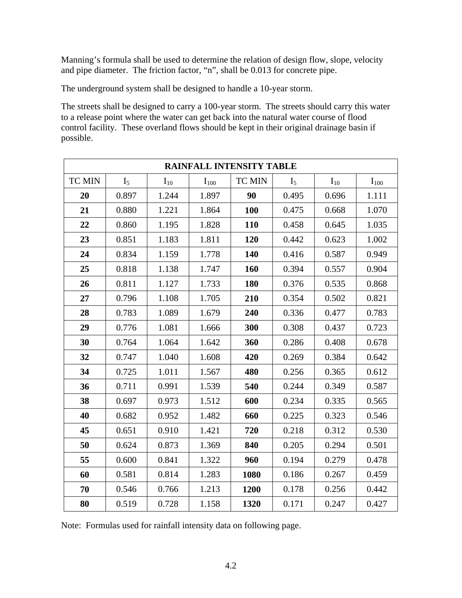Manning's formula shall be used to determine the relation of design flow, slope, velocity and pipe diameter. The friction factor, "n", shall be 0.013 for concrete pipe.

The underground system shall be designed to handle a 10-year storm.

The streets shall be designed to carry a 100-year storm. The streets should carry this water to a release point where the water can get back into the natural water course of flood control facility. These overland flows should be kept in their original drainage basin if possible.

| <b>RAINFALL INTENSITY TABLE</b> |                |          |           |               |                |          |           |
|---------------------------------|----------------|----------|-----------|---------------|----------------|----------|-----------|
| <b>TC MIN</b>                   | I <sub>5</sub> | $I_{10}$ | $I_{100}$ | <b>TC MIN</b> | I <sub>5</sub> | $I_{10}$ | $I_{100}$ |
| 20                              | 0.897          | 1.244    | 1.897     | 90            | 0.495          | 0.696    | 1.111     |
| 21                              | 0.880          | 1.221    | 1.864     | <b>100</b>    | 0.475          | 0.668    | 1.070     |
| 22                              | 0.860          | 1.195    | 1.828     | <b>110</b>    | 0.458          | 0.645    | 1.035     |
| 23                              | 0.851          | 1.183    | 1.811     | 120           | 0.442          | 0.623    | 1.002     |
| 24                              | 0.834          | 1.159    | 1.778     | 140           | 0.416          | 0.587    | 0.949     |
| 25                              | 0.818          | 1.138    | 1.747     | 160           | 0.394          | 0.557    | 0.904     |
| 26                              | 0.811          | 1.127    | 1.733     | 180           | 0.376          | 0.535    | 0.868     |
| 27                              | 0.796          | 1.108    | 1.705     | 210           | 0.354          | 0.502    | 0.821     |
| 28                              | 0.783          | 1.089    | 1.679     | 240           | 0.336          | 0.477    | 0.783     |
| 29                              | 0.776          | 1.081    | 1.666     | 300           | 0.308          | 0.437    | 0.723     |
| 30                              | 0.764          | 1.064    | 1.642     | 360           | 0.286          | 0.408    | 0.678     |
| 32                              | 0.747          | 1.040    | 1.608     | 420           | 0.269          | 0.384    | 0.642     |
| 34                              | 0.725          | 1.011    | 1.567     | 480           | 0.256          | 0.365    | 0.612     |
| 36                              | 0.711          | 0.991    | 1.539     | 540           | 0.244          | 0.349    | 0.587     |
| 38                              | 0.697          | 0.973    | 1.512     | 600           | 0.234          | 0.335    | 0.565     |
| 40                              | 0.682          | 0.952    | 1.482     | 660           | 0.225          | 0.323    | 0.546     |
| 45                              | 0.651          | 0.910    | 1.421     | 720           | 0.218          | 0.312    | 0.530     |
| 50                              | 0.624          | 0.873    | 1.369     | 840           | 0.205          | 0.294    | 0.501     |
| 55                              | 0.600          | 0.841    | 1.322     | 960           | 0.194          | 0.279    | 0.478     |
| 60                              | 0.581          | 0.814    | 1.283     | 1080          | 0.186          | 0.267    | 0.459     |
| 70                              | 0.546          | 0.766    | 1.213     | 1200          | 0.178          | 0.256    | 0.442     |
| 80                              | 0.519          | 0.728    | 1.158     | 1320          | 0.171          | 0.247    | 0.427     |

Note: Formulas used for rainfall intensity data on following page.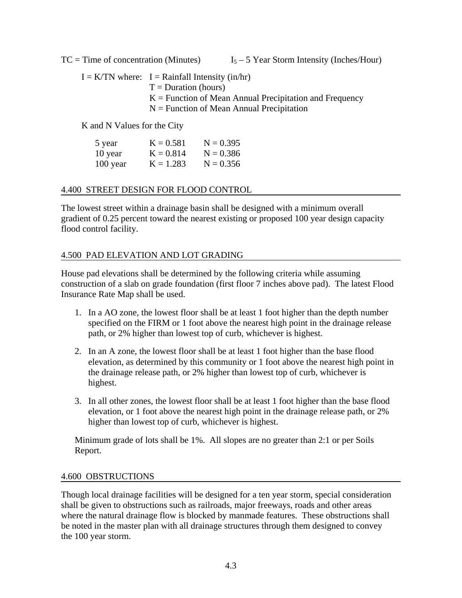$TC = Time$  of concentration (Minutes)  $I_5 - 5$  Year Storm Intensity (Inches/Hour)

 $I = K/TN$  where:  $I = Rainfall$  Intensity (in/hr)  $T =$ Duration (hours)  $K =$  Function of Mean Annual Precipitation and Frequency  $N =$  Function of Mean Annual Precipitation

K and N Values for the City

| 5 year   | $K = 0.581$ | $N = 0.395$ |
|----------|-------------|-------------|
| 10 year  | $K = 0.814$ | $N = 0.386$ |
| 100 year | $K = 1.283$ | $N = 0.356$ |

# 4.400 STREET DESIGN FOR FLOOD CONTROL

The lowest street within a drainage basin shall be designed with a minimum overall gradient of 0.25 percent toward the nearest existing or proposed 100 year design capacity flood control facility.

# 4.500 PAD ELEVATION AND LOT GRADING

House pad elevations shall be determined by the following criteria while assuming construction of a slab on grade foundation (first floor 7 inches above pad). The latest Flood Insurance Rate Map shall be used.

- 1. In a AO zone, the lowest floor shall be at least 1 foot higher than the depth number specified on the FIRM or 1 foot above the nearest high point in the drainage release path, or 2% higher than lowest top of curb, whichever is highest.
- 2. In an A zone, the lowest floor shall be at least 1 foot higher than the base flood elevation, as determined by this community or 1 foot above the nearest high point in the drainage release path, or 2% higher than lowest top of curb, whichever is highest.
- 3. In all other zones, the lowest floor shall be at least 1 foot higher than the base flood elevation, or 1 foot above the nearest high point in the drainage release path, or 2% higher than lowest top of curb, whichever is highest.

Minimum grade of lots shall be 1%. All slopes are no greater than 2:1 or per Soils Report.

# 4.600 OBSTRUCTIONS

Though local drainage facilities will be designed for a ten year storm, special consideration shall be given to obstructions such as railroads, major freeways, roads and other areas where the natural drainage flow is blocked by manmade features. These obstructions shall be noted in the master plan with all drainage structures through them designed to convey the 100 year storm.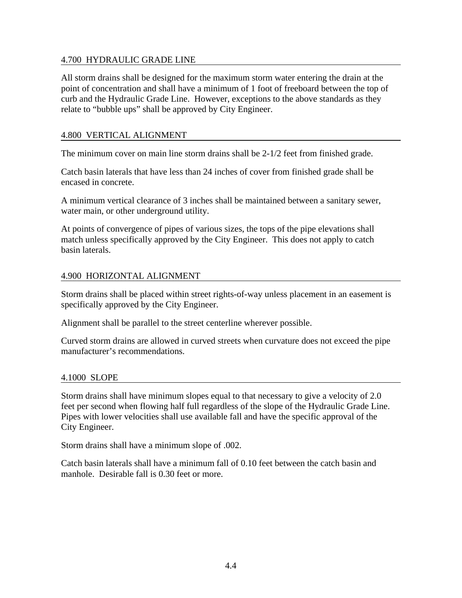# 4.700 HYDRAULIC GRADE LINE

All storm drains shall be designed for the maximum storm water entering the drain at the point of concentration and shall have a minimum of 1 foot of freeboard between the top of curb and the Hydraulic Grade Line. However, exceptions to the above standards as they relate to "bubble ups" shall be approved by City Engineer.

# 4.800 VERTICAL ALIGNMENT

The minimum cover on main line storm drains shall be 2-1/2 feet from finished grade.

Catch basin laterals that have less than 24 inches of cover from finished grade shall be encased in concrete.

A minimum vertical clearance of 3 inches shall be maintained between a sanitary sewer, water main, or other underground utility.

At points of convergence of pipes of various sizes, the tops of the pipe elevations shall match unless specifically approved by the City Engineer. This does not apply to catch basin laterals.

# 4.900 HORIZONTAL ALIGNMENT

Storm drains shall be placed within street rights-of-way unless placement in an easement is specifically approved by the City Engineer.

Alignment shall be parallel to the street centerline wherever possible.

Curved storm drains are allowed in curved streets when curvature does not exceed the pipe manufacturer's recommendations.

## 4.1000 SLOPE

Storm drains shall have minimum slopes equal to that necessary to give a velocity of 2.0 feet per second when flowing half full regardless of the slope of the Hydraulic Grade Line. Pipes with lower velocities shall use available fall and have the specific approval of the City Engineer.

Storm drains shall have a minimum slope of .002.

Catch basin laterals shall have a minimum fall of 0.10 feet between the catch basin and manhole. Desirable fall is 0.30 feet or more.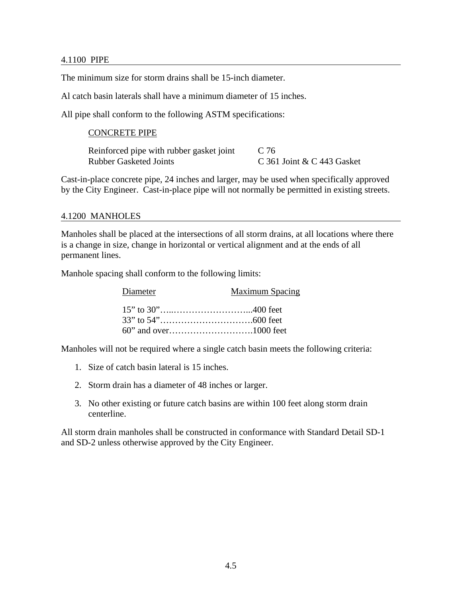### 4.1100 PIPE

The minimum size for storm drains shall be 15-inch diameter.

Al catch basin laterals shall have a minimum diameter of 15 inches.

All pipe shall conform to the following ASTM specifications:

## CONCRETE PIPE

Reinforced pipe with rubber gasket joint C 76 Rubber Gasketed Joints C 361 Joint & C 443 Gasket

Cast-in-place concrete pipe, 24 inches and larger, may be used when specifically approved by the City Engineer. Cast-in-place pipe will not normally be permitted in existing streets.

### 4.1200 MANHOLES

Manholes shall be placed at the intersections of all storm drains, at all locations where there is a change in size, change in horizontal or vertical alignment and at the ends of all permanent lines.

Manhole spacing shall conform to the following limits:

| Diameter | <b>Maximum Spacing</b> |
|----------|------------------------|
|          |                        |
|          |                        |
|          |                        |

Manholes will not be required where a single catch basin meets the following criteria:

- 1. Size of catch basin lateral is 15 inches.
- 2. Storm drain has a diameter of 48 inches or larger.
- 3. No other existing or future catch basins are within 100 feet along storm drain centerline.

All storm drain manholes shall be constructed in conformance with Standard Detail SD-1 and SD-2 unless otherwise approved by the City Engineer.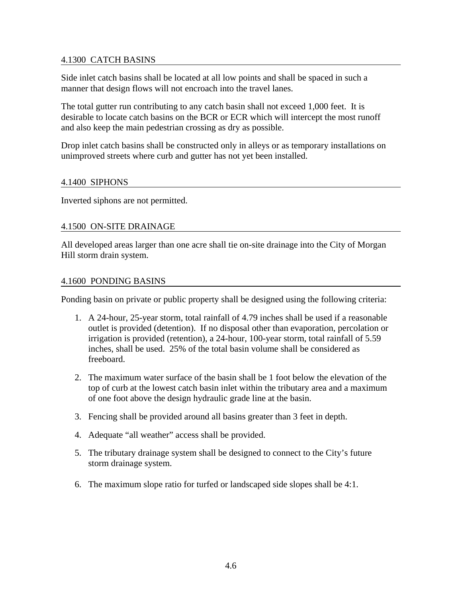# 4.1300 CATCH BASINS

Side inlet catch basins shall be located at all low points and shall be spaced in such a manner that design flows will not encroach into the travel lanes.

The total gutter run contributing to any catch basin shall not exceed 1,000 feet. It is desirable to locate catch basins on the BCR or ECR which will intercept the most runoff and also keep the main pedestrian crossing as dry as possible.

Drop inlet catch basins shall be constructed only in alleys or as temporary installations on unimproved streets where curb and gutter has not yet been installed.

## 4.1400 SIPHONS

Inverted siphons are not permitted.

## 4.1500 ON-SITE DRAINAGE

All developed areas larger than one acre shall tie on-site drainage into the City of Morgan Hill storm drain system.

### 4.1600 PONDING BASINS

Ponding basin on private or public property shall be designed using the following criteria:

- 1. A 24-hour, 25-year storm, total rainfall of 4.79 inches shall be used if a reasonable outlet is provided (detention). If no disposal other than evaporation, percolation or irrigation is provided (retention), a 24-hour, 100-year storm, total rainfall of 5.59 inches, shall be used. 25% of the total basin volume shall be considered as freeboard.
- 2. The maximum water surface of the basin shall be 1 foot below the elevation of the top of curb at the lowest catch basin inlet within the tributary area and a maximum of one foot above the design hydraulic grade line at the basin.
- 3. Fencing shall be provided around all basins greater than 3 feet in depth.
- 4. Adequate "all weather" access shall be provided.
- 5. The tributary drainage system shall be designed to connect to the City's future storm drainage system.
- 6. The maximum slope ratio for turfed or landscaped side slopes shall be 4:1.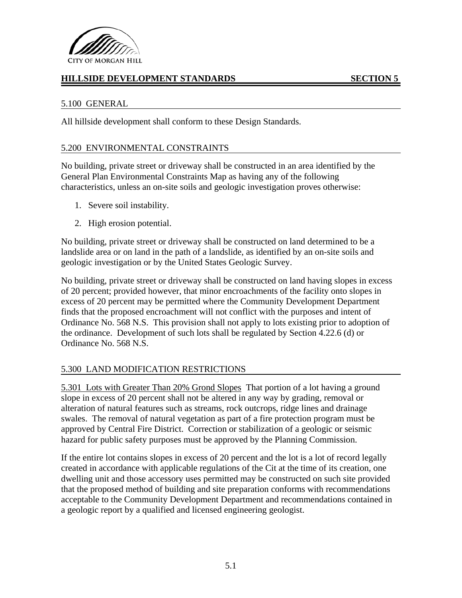

# **HILLSIDE DEVELOPMENT STANDARDS SECTION 5**

# 5.100 GENERAL

All hillside development shall conform to these Design Standards.

## 5.200 ENVIRONMENTAL CONSTRAINTS

No building, private street or driveway shall be constructed in an area identified by the General Plan Environmental Constraints Map as having any of the following characteristics, unless an on-site soils and geologic investigation proves otherwise:

- 1. Severe soil instability.
- 2. High erosion potential.

No building, private street or driveway shall be constructed on land determined to be a landslide area or on land in the path of a landslide, as identified by an on-site soils and geologic investigation or by the United States Geologic Survey.

No building, private street or driveway shall be constructed on land having slopes in excess of 20 percent; provided however, that minor encroachments of the facility onto slopes in excess of 20 percent may be permitted where the Community Development Department finds that the proposed encroachment will not conflict with the purposes and intent of Ordinance No. 568 N.S. This provision shall not apply to lots existing prior to adoption of the ordinance. Development of such lots shall be regulated by Section 4.22.6 (d) or Ordinance No. 568 N.S.

# 5.300 LAND MODIFICATION RESTRICTIONS

5.301 Lots with Greater Than 20% Grond Slopes That portion of a lot having a ground slope in excess of 20 percent shall not be altered in any way by grading, removal or alteration of natural features such as streams, rock outcrops, ridge lines and drainage swales. The removal of natural vegetation as part of a fire protection program must be approved by Central Fire District. Correction or stabilization of a geologic or seismic hazard for public safety purposes must be approved by the Planning Commission.

If the entire lot contains slopes in excess of 20 percent and the lot is a lot of record legally created in accordance with applicable regulations of the Cit at the time of its creation, one dwelling unit and those accessory uses permitted may be constructed on such site provided that the proposed method of building and site preparation conforms with recommendations acceptable to the Community Development Department and recommendations contained in a geologic report by a qualified and licensed engineering geologist.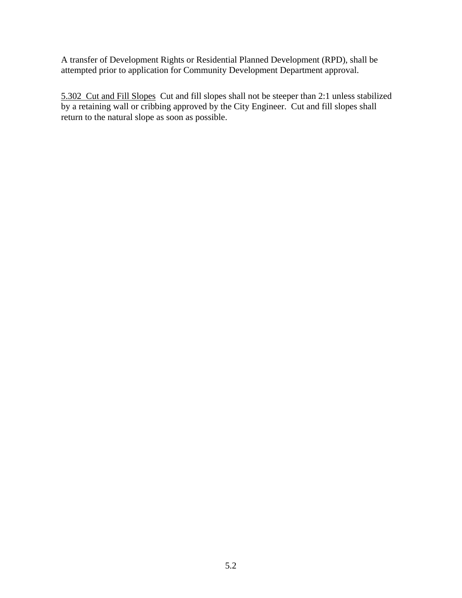A transfer of Development Rights or Residential Planned Development (RPD), shall be attempted prior to application for Community Development Department approval.

5.302 Cut and Fill Slopes Cut and fill slopes shall not be steeper than 2:1 unless stabilized by a retaining wall or cribbing approved by the City Engineer. Cut and fill slopes shall return to the natural slope as soon as possible.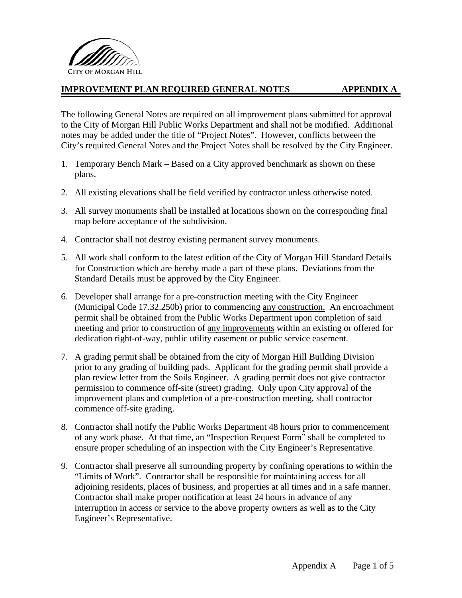

# **IMPROVEMENT PLAN REQUIRED GENERAL NOTES APPENDIX A**

The following General Notes are required on all improvement plans submitted for approval to the City of Morgan Hill Public Works Department and shall not be modified. Additional notes may be added under the title of "Project Notes". However, conflicts between the City's required General Notes and the Project Notes shall be resolved by the City Engineer.

- 1. Temporary Bench Mark Based on a City approved benchmark as shown on these plans.
- 2. All existing elevations shall be field verified by contractor unless otherwise noted.
- 3. All survey monuments shall be installed at locations shown on the corresponding final map before acceptance of the subdivision.
- 4. Contractor shall not destroy existing permanent survey monuments.
- 5. All work shall conform to the latest edition of the City of Morgan Hill Standard Details for Construction which are hereby made a part of these plans. Deviations from the Standard Details must be approved by the City Engineer.
- 6. Developer shall arrange for a pre-construction meeting with the City Engineer (Municipal Code 17.32.250b) prior to commencing any construction. An encroachment permit shall be obtained from the Public Works Department upon completion of said meeting and prior to construction of any improvements within an existing or offered for dedication right-of-way, public utility easement or public service easement.
- 7. A grading permit shall be obtained from the city of Morgan Hill Building Division prior to any grading of building pads. Applicant for the grading permit shall provide a plan review letter from the Soils Engineer. A grading permit does not give contractor permission to commence off-site (street) grading. Only upon City approval of the improvement plans and completion of a pre-construction meeting, shall contractor commence off-site grading.
- 8. Contractor shall notify the Public Works Department 48 hours prior to commencement of any work phase. At that time, an "Inspection Request Form" shall be completed to ensure proper scheduling of an inspection with the City Engineer's Representative.
- 9. Contractor shall preserve all surrounding property by confining operations to within the "Limits of Work". Contractor shall be responsible for maintaining access for all adjoining residents, places of business, and properties at all times and in a safe manner. Contractor shall make proper notification at least 24 hours in advance of any interruption in access or service to the above property owners as well as to the City Engineer's Representative.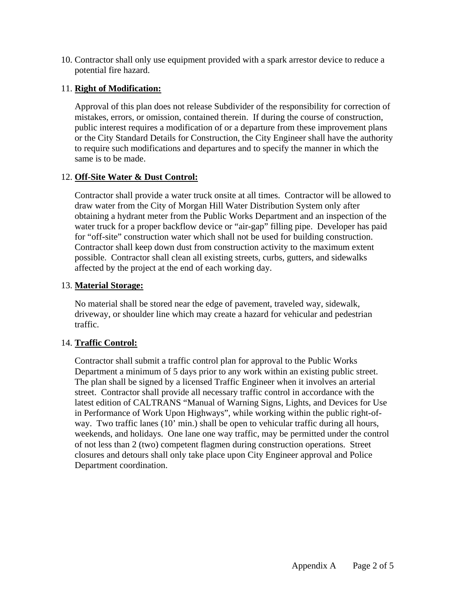10. Contractor shall only use equipment provided with a spark arrestor device to reduce a potential fire hazard.

# 11. **Right of Modification:**

Approval of this plan does not release Subdivider of the responsibility for correction of mistakes, errors, or omission, contained therein. If during the course of construction, public interest requires a modification of or a departure from these improvement plans or the City Standard Details for Construction, the City Engineer shall have the authority to require such modifications and departures and to specify the manner in which the same is to be made.

# 12. **Off-Site Water & Dust Control:**

Contractor shall provide a water truck onsite at all times. Contractor will be allowed to draw water from the City of Morgan Hill Water Distribution System only after obtaining a hydrant meter from the Public Works Department and an inspection of the water truck for a proper backflow device or "air-gap" filling pipe. Developer has paid for "off-site" construction water which shall not be used for building construction. Contractor shall keep down dust from construction activity to the maximum extent possible. Contractor shall clean all existing streets, curbs, gutters, and sidewalks affected by the project at the end of each working day.

# 13. **Material Storage:**

No material shall be stored near the edge of pavement, traveled way, sidewalk, driveway, or shoulder line which may create a hazard for vehicular and pedestrian traffic.

# 14. **Traffic Control:**

Contractor shall submit a traffic control plan for approval to the Public Works Department a minimum of 5 days prior to any work within an existing public street. The plan shall be signed by a licensed Traffic Engineer when it involves an arterial street. Contractor shall provide all necessary traffic control in accordance with the latest edition of CALTRANS "Manual of Warning Signs, Lights, and Devices for Use in Performance of Work Upon Highways", while working within the public right-ofway. Two traffic lanes (10' min.) shall be open to vehicular traffic during all hours, weekends, and holidays. One lane one way traffic, may be permitted under the control of not less than 2 (two) competent flagmen during construction operations. Street closures and detours shall only take place upon City Engineer approval and Police Department coordination.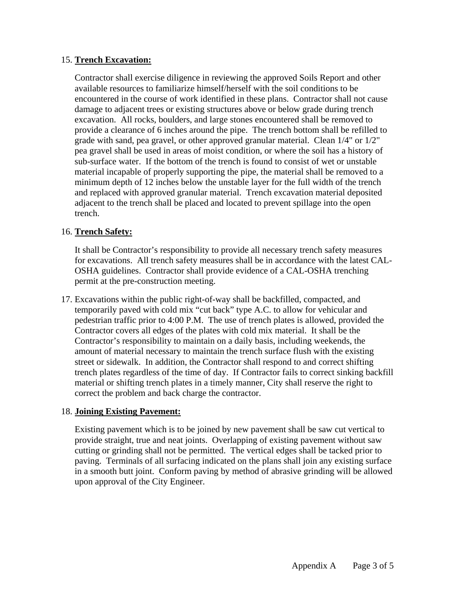# 15. **Trench Excavation:**

Contractor shall exercise diligence in reviewing the approved Soils Report and other available resources to familiarize himself/herself with the soil conditions to be encountered in the course of work identified in these plans. Contractor shall not cause damage to adjacent trees or existing structures above or below grade during trench excavation. All rocks, boulders, and large stones encountered shall be removed to provide a clearance of 6 inches around the pipe. The trench bottom shall be refilled to grade with sand, pea gravel, or other approved granular material. Clean 1/4" or 1/2" pea gravel shall be used in areas of moist condition, or where the soil has a history of sub-surface water. If the bottom of the trench is found to consist of wet or unstable material incapable of properly supporting the pipe, the material shall be removed to a minimum depth of 12 inches below the unstable layer for the full width of the trench and replaced with approved granular material. Trench excavation material deposited adjacent to the trench shall be placed and located to prevent spillage into the open trench.

# 16. **Trench Safety:**

It shall be Contractor's responsibility to provide all necessary trench safety measures for excavations. All trench safety measures shall be in accordance with the latest CAL-OSHA guidelines. Contractor shall provide evidence of a CAL-OSHA trenching permit at the pre-construction meeting.

17. Excavations within the public right-of-way shall be backfilled, compacted, and temporarily paved with cold mix "cut back" type A.C. to allow for vehicular and pedestrian traffic prior to 4:00 P.M. The use of trench plates is allowed, provided the Contractor covers all edges of the plates with cold mix material. It shall be the Contractor's responsibility to maintain on a daily basis, including weekends, the amount of material necessary to maintain the trench surface flush with the existing street or sidewalk. In addition, the Contractor shall respond to and correct shifting trench plates regardless of the time of day. If Contractor fails to correct sinking backfill material or shifting trench plates in a timely manner, City shall reserve the right to correct the problem and back charge the contractor.

## 18. **Joining Existing Pavement:**

Existing pavement which is to be joined by new pavement shall be saw cut vertical to provide straight, true and neat joints. Overlapping of existing pavement without saw cutting or grinding shall not be permitted. The vertical edges shall be tacked prior to paving. Terminals of all surfacing indicated on the plans shall join any existing surface in a smooth butt joint. Conform paving by method of abrasive grinding will be allowed upon approval of the City Engineer.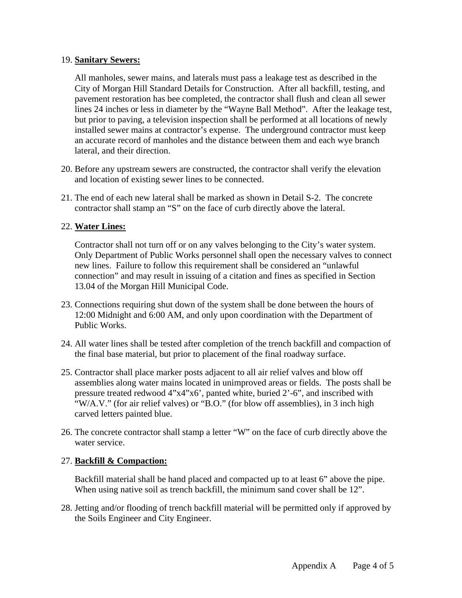# 19. **Sanitary Sewers:**

All manholes, sewer mains, and laterals must pass a leakage test as described in the City of Morgan Hill Standard Details for Construction. After all backfill, testing, and pavement restoration has bee completed, the contractor shall flush and clean all sewer lines 24 inches or less in diameter by the "Wayne Ball Method". After the leakage test, but prior to paving, a television inspection shall be performed at all locations of newly installed sewer mains at contractor's expense. The underground contractor must keep an accurate record of manholes and the distance between them and each wye branch lateral, and their direction.

- 20. Before any upstream sewers are constructed, the contractor shall verify the elevation and location of existing sewer lines to be connected.
- 21. The end of each new lateral shall be marked as shown in Detail S-2. The concrete contractor shall stamp an "S" on the face of curb directly above the lateral.

# 22. **Water Lines:**

Contractor shall not turn off or on any valves belonging to the City's water system. Only Department of Public Works personnel shall open the necessary valves to connect new lines. Failure to follow this requirement shall be considered an "unlawful connection" and may result in issuing of a citation and fines as specified in Section 13.04 of the Morgan Hill Municipal Code.

- 23. Connections requiring shut down of the system shall be done between the hours of 12:00 Midnight and 6:00 AM, and only upon coordination with the Department of Public Works.
- 24. All water lines shall be tested after completion of the trench backfill and compaction of the final base material, but prior to placement of the final roadway surface.
- 25. Contractor shall place marker posts adjacent to all air relief valves and blow off assemblies along water mains located in unimproved areas or fields. The posts shall be pressure treated redwood 4"x4"x6', panted white, buried 2'-6", and inscribed with "W/A.V." (for air relief valves) or "B.O." (for blow off assemblies), in 3 inch high carved letters painted blue.
- 26. The concrete contractor shall stamp a letter "W" on the face of curb directly above the water service.

# 27. **Backfill & Compaction:**

Backfill material shall be hand placed and compacted up to at least 6" above the pipe. When using native soil as trench backfill, the minimum sand cover shall be 12".

28. Jetting and/or flooding of trench backfill material will be permitted only if approved by the Soils Engineer and City Engineer.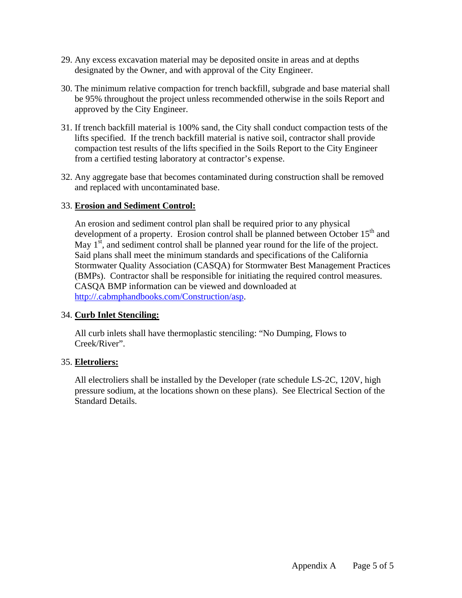- 29. Any excess excavation material may be deposited onsite in areas and at depths designated by the Owner, and with approval of the City Engineer.
- 30. The minimum relative compaction for trench backfill, subgrade and base material shall be 95% throughout the project unless recommended otherwise in the soils Report and approved by the City Engineer.
- 31. If trench backfill material is 100% sand, the City shall conduct compaction tests of the lifts specified. If the trench backfill material is native soil, contractor shall provide compaction test results of the lifts specified in the Soils Report to the City Engineer from a certified testing laboratory at contractor's expense.
- 32. Any aggregate base that becomes contaminated during construction shall be removed and replaced with uncontaminated base.

# 33. **Erosion and Sediment Control:**

An erosion and sediment control plan shall be required prior to any physical development of a property. Erosion control shall be planned between October  $15<sup>th</sup>$  and May  $1<sup>st</sup>$ , and sediment control shall be planned year round for the life of the project. Said plans shall meet the minimum standards and specifications of the California Stormwater Quality Association (CASQA) for Stormwater Best Management Practices (BMPs). Contractor shall be responsible for initiating the required control measures. CASQA BMP information can be viewed and downloaded at http://.cabmphandbooks.com/Construction/asp.

## 34. **Curb Inlet Stenciling:**

All curb inlets shall have thermoplastic stenciling: "No Dumping, Flows to Creek/River".

## 35. **Eletroliers:**

All electroliers shall be installed by the Developer (rate schedule LS-2C, 120V, high pressure sodium, at the locations shown on these plans). See Electrical Section of the Standard Details.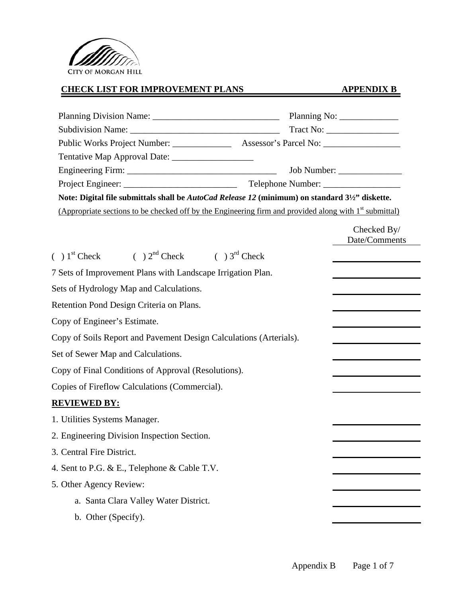

# **CHECK LIST FOR IMPROVEMENT PLANS APPENDIX B**

| Tentative Map Approval Date: ___________________                                                                   |                              |
|--------------------------------------------------------------------------------------------------------------------|------------------------------|
|                                                                                                                    |                              |
|                                                                                                                    |                              |
| Note: Digital file submittals shall be <i>AutoCad Release 12</i> (minimum) on standard 31/2" diskette.             |                              |
| (Appropriate sections to be checked off by the Engineering firm and provided along with 1 <sup>st</sup> submittal) |                              |
|                                                                                                                    | Checked By/<br>Date/Comments |
| $( ) 1st Check$ ( $) 2nd Check$ ( $) 3rd Check$                                                                    |                              |
| 7 Sets of Improvement Plans with Landscape Irrigation Plan.                                                        |                              |
| Sets of Hydrology Map and Calculations.                                                                            |                              |
| Retention Pond Design Criteria on Plans.                                                                           |                              |
| Copy of Engineer's Estimate.                                                                                       |                              |
| Copy of Soils Report and Pavement Design Calculations (Arterials).                                                 |                              |
| Set of Sewer Map and Calculations.                                                                                 |                              |
| Copy of Final Conditions of Approval (Resolutions).                                                                |                              |
| Copies of Fireflow Calculations (Commercial).                                                                      |                              |
| <b>REVIEWED BY:</b>                                                                                                |                              |
| 1. Utilities Systems Manager.                                                                                      |                              |
| 2. Engineering Division Inspection Section.                                                                        |                              |
| 3. Central Fire District.                                                                                          |                              |
| 4. Sent to P.G. & E., Telephone & Cable T.V.                                                                       |                              |
| 5. Other Agency Review:                                                                                            |                              |
| a. Santa Clara Valley Water District.                                                                              |                              |
| b. Other (Specify).                                                                                                |                              |
|                                                                                                                    |                              |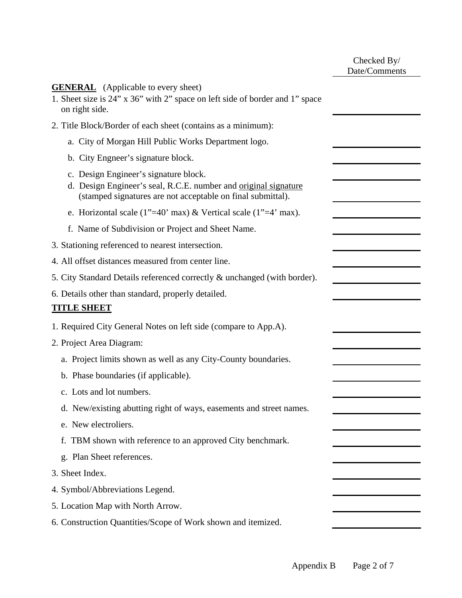|                                                                                                                                                                         | Checked By/<br>Date/Comments |
|-------------------------------------------------------------------------------------------------------------------------------------------------------------------------|------------------------------|
| <b>GENERAL</b> (Applicable to every sheet)<br>1. Sheet size is 24" x 36" with 2" space on left side of border and 1" space<br>on right side.                            |                              |
| 2. Title Block/Border of each sheet (contains as a minimum):                                                                                                            |                              |
| a. City of Morgan Hill Public Works Department logo.                                                                                                                    |                              |
| b. City Engneer's signature block.                                                                                                                                      |                              |
| c. Design Engineer's signature block.<br>d. Design Engineer's seal, R.C.E. number and original signature<br>(stamped signatures are not acceptable on final submittal). |                              |
| e. Horizontal scale (1"=40' max) & Vertical scale (1"=4' max).                                                                                                          |                              |
| f. Name of Subdivision or Project and Sheet Name.                                                                                                                       |                              |
| 3. Stationing referenced to nearest intersection.                                                                                                                       |                              |
| 4. All offset distances measured from center line.                                                                                                                      |                              |
| 5. City Standard Details referenced correctly & unchanged (with border).                                                                                                |                              |
| 6. Details other than standard, properly detailed.<br><b>TITLE SHEET</b>                                                                                                |                              |
| 1. Required City General Notes on left side (compare to App.A).                                                                                                         |                              |
| 2. Project Area Diagram:                                                                                                                                                |                              |
| a. Project limits shown as well as any City-County boundaries.                                                                                                          |                              |
| b. Phase boundaries (if applicable).                                                                                                                                    |                              |
| c. Lots and lot numbers.                                                                                                                                                |                              |
| d. New/existing abutting right of ways, easements and street names.                                                                                                     |                              |
| e. New electroliers.                                                                                                                                                    |                              |
| TBM shown with reference to an approved City benchmark.<br>f.                                                                                                           |                              |
| g. Plan Sheet references.                                                                                                                                               |                              |
| 3. Sheet Index.                                                                                                                                                         |                              |
| 4. Symbol/Abbreviations Legend.                                                                                                                                         |                              |
| 5. Location Map with North Arrow.                                                                                                                                       |                              |
| 6. Construction Quantities/Scope of Work shown and itemized.                                                                                                            |                              |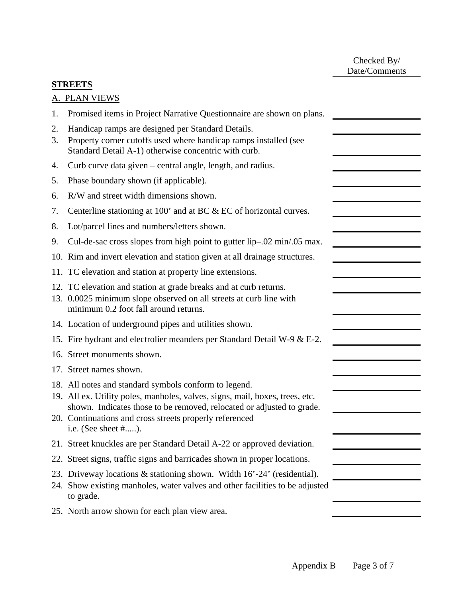Checked By/ Date/Comments

## **STREETS**

|          | A. PLAN VIEWS                                                                                                                                                                 |
|----------|-------------------------------------------------------------------------------------------------------------------------------------------------------------------------------|
| 1.       | Promised items in Project Narrative Questionnaire are shown on plans.                                                                                                         |
| 2.<br>3. | Handicap ramps are designed per Standard Details.<br>Property corner cutoffs used where handicap ramps installed (see<br>Standard Detail A-1) otherwise concentric with curb. |
| 4.       | Curb curve data given – central angle, length, and radius.                                                                                                                    |
| 5.       | Phase boundary shown (if applicable).                                                                                                                                         |
| 6.       | R/W and street width dimensions shown.                                                                                                                                        |
| 7.       | Centerline stationing at 100' and at BC & EC of horizontal curves.                                                                                                            |
| 8.       | Lot/parcel lines and numbers/letters shown.                                                                                                                                   |
|          |                                                                                                                                                                               |

- 9. Cul-de-sac cross slopes from high point to gutter lip–.02 min/.05 max.
- 10. Rim and invert elevation and station given at all drainage structures.
- 11. TC elevation and station at property line extensions.
- 12. TC elevation and station at grade breaks and at curb returns.
- 13. 0.0025 minimum slope observed on all streets at curb line with minimum 0.2 foot fall around returns.
- 14. Location of underground pipes and utilities shown.
- 15. Fire hydrant and electrolier meanders per Standard Detail W-9 & E-2.
- 16. Street monuments shown.
- 17. Street names shown.
- 18. All notes and standard symbols conform to legend.
- 19. All ex. Utility poles, manholes, valves, signs, mail, boxes, trees, etc. shown. Indicates those to be removed, relocated or adjusted to grade.
- 20. Continuations and cross streets properly referenced i.e. (See sheet #.....).
- 21. Street knuckles are per Standard Detail A-22 or approved deviation.
- 22. Street signs, traffic signs and barricades shown in proper locations.
- 23. Driveway locations & stationing shown. Width 16'-24' (residential).
- 24. Show existing manholes, water valves and other facilities to be adjusted to grade.
- 25. North arrow shown for each plan view area.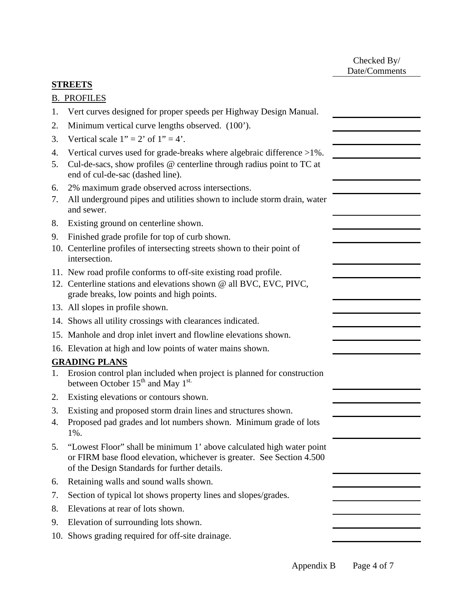Checked By/ Date/Comments

# **STREETS**

| <b>B. PROFILES</b> |
|--------------------|
|                    |

- 1. Vert curves designed for proper speeds per Highway Design Manual.
- 2. Minimum vertical curve lengths observed. (100').
- 3. Vertical scale  $1" = 2'$  of  $1" = 4'$ .
- 4. Vertical curves used for grade-breaks where algebraic difference >1%.
- 5. Cul-de-sacs, show profiles @ centerline through radius point to TC at end of cul-de-sac (dashed line).
- 6. 2% maximum grade observed across intersections.
- 7. All underground pipes and utilities shown to include storm drain, water and sewer.
- 8. Existing ground on centerline shown.
- 9. Finished grade profile for top of curb shown.
- 10. Centerline profiles of intersecting streets shown to their point of intersection.
- 11. New road profile conforms to off-site existing road profile.
- 12. Centerline stations and elevations shown @ all BVC, EVC, PIVC, grade breaks, low points and high points.
- 13. All slopes in profile shown.
- 14. Shows all utility crossings with clearances indicated.
- 15. Manhole and drop inlet invert and flowline elevations shown.
- 16. Elevation at high and low points of water mains shown.

## **GRADING PLANS**

- 1. Erosion control plan included when project is planned for construction between October  $15<sup>th</sup>$  and May  $1<sup>st</sup>$ .
- 2. Existing elevations or contours shown.
- 3. Existing and proposed storm drain lines and structures shown.
- 4. Proposed pad grades and lot numbers shown. Minimum grade of lots 1%.
- 5. "Lowest Floor" shall be minimum 1' above calculated high water point or FIRM base flood elevation, whichever is greater. See Section 4.500 of the Design Standards for further details.
- 6. Retaining walls and sound walls shown.
- 7. Section of typical lot shows property lines and slopes/grades.
- 8. Elevations at rear of lots shown.
- 9. Elevation of surrounding lots shown.
- 10. Shows grading required for off-site drainage.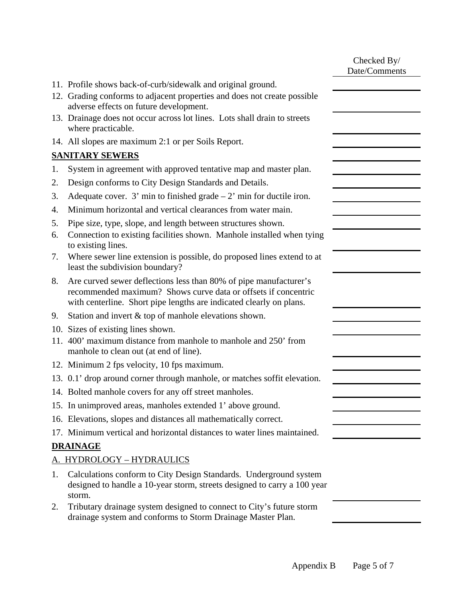|          |                                                                                                                                                                                                            | Checked By/<br>Date/Comments |
|----------|------------------------------------------------------------------------------------------------------------------------------------------------------------------------------------------------------------|------------------------------|
|          | 11. Profile shows back-of-curb/sidewalk and original ground.                                                                                                                                               |                              |
|          | 12. Grading conforms to adjacent properties and does not create possible<br>adverse effects on future development.                                                                                         |                              |
|          | 13. Drainage does not occur across lot lines. Lots shall drain to streets<br>where practicable.                                                                                                            |                              |
|          | 14. All slopes are maximum 2:1 or per Soils Report.                                                                                                                                                        |                              |
|          | <b>SANITARY SEWERS</b>                                                                                                                                                                                     |                              |
| 1.       | System in agreement with approved tentative map and master plan.                                                                                                                                           |                              |
| 2.       | Design conforms to City Design Standards and Details.                                                                                                                                                      |                              |
| 3.       | Adequate cover. 3' min to finished grade $-2$ ' min for ductile iron.                                                                                                                                      |                              |
| 4.       | Minimum horizontal and vertical clearances from water main.                                                                                                                                                |                              |
| 5.<br>6. | Pipe size, type, slope, and length between structures shown.<br>Connection to existing facilities shown. Manhole installed when tying<br>to existing lines.                                                |                              |
| 7.       | Where sewer line extension is possible, do proposed lines extend to at<br>least the subdivision boundary?                                                                                                  |                              |
| 8.       | Are curved sewer deflections less than 80% of pipe manufacturer's<br>recommended maximum? Shows curve data or offsets if concentric<br>with centerline. Short pipe lengths are indicated clearly on plans. |                              |
| 9.       | Station and invert & top of manhole elevations shown.                                                                                                                                                      |                              |
|          | 10. Sizes of existing lines shown.                                                                                                                                                                         |                              |
|          | 11. 400' maximum distance from manhole to manhole and 250' from<br>manhole to clean out (at end of line).                                                                                                  |                              |
|          | 12. Minimum 2 fps velocity, 10 fps maximum.                                                                                                                                                                |                              |
|          | 13. 0.1' drop around corner through manhole, or matches soffit elevation.                                                                                                                                  |                              |
|          | 14. Bolted manhole covers for any off street manholes.                                                                                                                                                     |                              |
|          | 15. In unimproved areas, manholes extended 1' above ground.                                                                                                                                                |                              |
|          | 16. Elevations, slopes and distances all mathematically correct.                                                                                                                                           |                              |
|          | 17. Minimum vertical and horizontal distances to water lines maintained.                                                                                                                                   |                              |
|          | <b>DRAINAGE</b>                                                                                                                                                                                            |                              |
|          | A. HYDROLOGY - HYDRAULICS                                                                                                                                                                                  |                              |
| 1.       | Calculations conform to City Design Standards. Underground system<br>designed to handle a 10-year storm, streets designed to carry a 100 year<br>storm.                                                    |                              |
| 2.       | Tributary drainage system designed to connect to City's future storm<br>drainage system and conforms to Storm Drainage Master Plan.                                                                        |                              |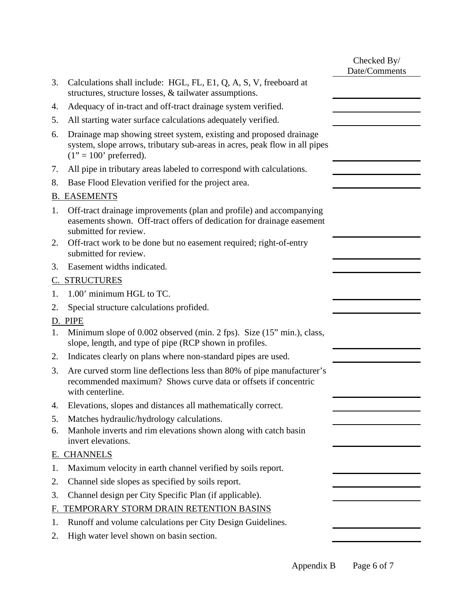|    |                                                                                                                                                                              | Checked By/<br>Date/Comments |
|----|------------------------------------------------------------------------------------------------------------------------------------------------------------------------------|------------------------------|
| 3. | Calculations shall include: HGL, FL, E1, Q, A, S, V, freeboard at<br>structures, structure losses, & tailwater assumptions.                                                  |                              |
| 4. | Adequacy of in-tract and off-tract drainage system verified.                                                                                                                 |                              |
| 5. | All starting water surface calculations adequately verified.                                                                                                                 |                              |
| 6. | Drainage map showing street system, existing and proposed drainage<br>system, slope arrows, tributary sub-areas in acres, peak flow in all pipes<br>$(1" = 100"$ preferred). |                              |
| 7. | All pipe in tributary areas labeled to correspond with calculations.                                                                                                         |                              |
| 8. | Base Flood Elevation verified for the project area.                                                                                                                          |                              |
|    | <b>B. EASEMENTS</b>                                                                                                                                                          |                              |
| 1. | Off-tract drainage improvements (plan and profile) and accompanying<br>easements shown. Off-tract offers of dedication for drainage easement<br>submitted for review.        |                              |
| 2. | Off-tract work to be done but no easement required; right-of-entry<br>submitted for review.                                                                                  |                              |
| 3. | Easement widths indicated.                                                                                                                                                   |                              |
|    | <b>C. STRUCTURES</b>                                                                                                                                                         |                              |
| 1. | 1.00' minimum HGL to TC.                                                                                                                                                     |                              |
| 2. | Special structure calculations profided.                                                                                                                                     |                              |
| D. | PIPE                                                                                                                                                                         |                              |
| 1. | Minimum slope of 0.002 observed (min. 2 fps). Size (15" min.), class,<br>slope, length, and type of pipe (RCP shown in profiles.                                             |                              |
| 2. | Indicates clearly on plans where non-standard pipes are used.                                                                                                                |                              |
| 3. | Are curved storm line deflections less than 80% of pipe manufacturer's<br>recommended maximum? Shows curve data or offsets if concentric<br>with centerline.                 |                              |
| 4. | Elevations, slopes and distances all mathematically correct.                                                                                                                 |                              |
| 5. | Matches hydraulic/hydrology calculations.                                                                                                                                    |                              |
| 6. | Manhole inverts and rim elevations shown along with catch basin<br>invert elevations.                                                                                        |                              |
|    | E. CHANNELS                                                                                                                                                                  |                              |
| 1. | Maximum velocity in earth channel verified by soils report.                                                                                                                  |                              |
| 2. | Channel side slopes as specified by soils report.                                                                                                                            |                              |
| 3. | Channel design per City Specific Plan (if applicable).                                                                                                                       |                              |
| F. | TEMPORARY STORM DRAIN RETENTION BASINS                                                                                                                                       |                              |
| 1. | Runoff and volume calculations per City Design Guidelines.                                                                                                                   |                              |
| 2. | High water level shown on basin section.                                                                                                                                     |                              |